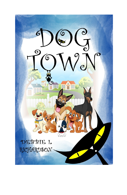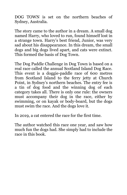DOG TOWN is set on the northern beaches of Sydney, Australia.

The story came to the author in a dream. A small dog named Harry, who loved to run, found himself lost in a strange town. Harry's best friend, Junior, was very sad about his disappearance. In this dream, the small dogs and big dogs lived apart, and cats were extinct. This formed the basis of Dog Town.

The Dog Paddle Challenge in Dog Town is based on a real race called the annual Scotland Island Dog Race. This event is a doggie-paddle race of 600 metres from Scotland Island to the ferry jetty at Church Point, in Sydney's northern beaches. The entry fee is a tin of dog food and the winning dog of each category takes all. There is only one rule: the owners must accompany their dog in the race, either by swimming, or on kayak or body-board, but the dogs must swim the race. And the dogs love it.

In 2019, a cat entered the race for the first time.

The author watched this race one year, and saw how much fun the dogs had. She simply had to include the race in this book.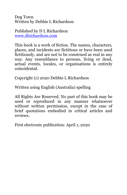Dog Town Written by Debbie L Richardson

Published by D L Richardson [www.dlrichardson.com](http://www.dlrichardson.com/)

This book is a work of fiction. The names, characters, places, and incidents are fictitious or have been used fictitiously, and are not to be construed as real in any way. Any resemblance to persons, living or dead, actual events, locales, or organisations is entirely coincidental.

Copyright (c) 2020 Debbie L Richardson

Written using English (Australia) spelling

All Rights Are Reserved. No part of this book may be used or reproduced in any manner whatsoever without written permission, except in the case of brief quotations embodied in critical articles and reviews.

First electronic publication: April 1, 2020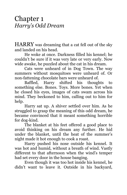## Chapter 1 *Harry's Odd Dream*

HARRY was dreaming that a cat fell out of the sky and landed on his head.

He woke at once. Darkness filled his kennel; he couldn't be sure if it was very late or very early. Now wide awake, he puzzled about the cat in his dream.

Cats were unheard of in Dog Town. The way summers without mosquitoes were unheard of. Or non-fattening chocolate bars were unheard of.

Baffled, Harry shifted his thoughts to something else. Bones. Toys. More bones. Yet when he closed his eyes, images of cats swam across his mind. They beckoned to him, calling out to him for help.

Harry sat up. A shiver settled over him. As he struggled to grasp the meaning of this odd dream, he became convinced that it meant something horrible for dog-kind.

The blanket at his feet offered a good place to avoid thinking on his dream any further. He hid under the blanket, until the heat of the summer's night made it hot enough to cook a roast.

Harry pushed his nose outside his kennel. It was hot and humid, without a breath of wind. Vastly different to that afternoon when the wind's temper had set every door in the house banging.

Even though it was too hot inside his kennel, he didn't want to leave it. Outside in his backyard,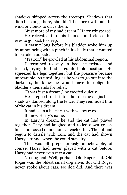shadows skipped across the treetops. Shadows that didn't belong there, shouldn't be there without the wind or clouds to drive them.

"Just more of my bad dream," Harry whispered.

He retreated into his blanket and closed his eyes to go back to sleep.

It wasn't long before his bladder woke him up by announcing with a pinch in his belly that it wanted to be taken outside.

"Traitor," he growled at his abdominal region.

Determined to stay in bed, he twisted and turned, trying to find a comfortable position. He squeezed his legs together, but the pressure became unbearable. As unwilling as he was to go out into the darkness, he knew he would have to oblige his bladder's demands for relief.

"It was just a dream," he woofed quietly.

He stepped out into the darkness, just as shadows danced along the fence. They reminded him of the cat in his dream.

It had been a black cat with yellow eyes.

It knew Harry's name.

In Harry's dream, he and the cat had played together. They had laughed and rolled down grassy hills and tossed dandelions at each other. Then it had begun to drizzle with rain, and the cat had shown Harry a tunnel where he could stay dry.

This was all preposterously unbelievable, of course. Harry had never played with a cat before. Harry had never even *met* a cat.

No dog had. Well, perhaps Old Roger had. Old Roger was the oldest small dog alive. But Old Roger never spoke about cats. No dog did. And there was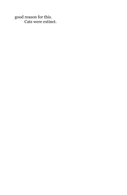good reason for this. Cats were extinct.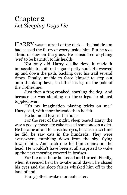Chapter 2 *Let Sleeping Dogs Lie*

HARRY wasn't afraid of the dark – the bad dream had caused the flurry of worry inside him. But he *was* afraid of dew on the grass. He considered anything 'wet' to be harmful to his health.

Not only did Harry dislike dew, it made it impossible to sniff out a good potty spot. He weaved up and down the path, backing over his trail several times. Finally, unable to force himself to step out onto the damp lawn, he lifted his leg on the pole of the clothesline.

Just then a frog croaked, startling the dog. And because he was standing on three legs he almost toppled over.

"It's my imagination playing tricks on me," Harry said, with more bravado than he felt.

He bounded toward the house.

For the rest of the night, sleep teased Harry the way a gooey chocolate cake teased someone on a diet. He became afraid to close his eyes, because each time he did, he saw cats in the hundreds. They were everywhere, tumbling down from the sky, flying toward him. And each one hit him square on the head. He wouldn't have been at all surprised to wake up the next morning covered in bruises.

For the next hour he tossed and turned. Finally, when it seemed he'd be awake until dawn, he closed his eyes and the sleep fairies whisked him off to the land of nod.

Harry jolted awake moments later.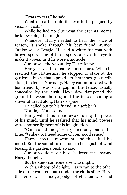"Drats to cats," he said.

What on earth could it mean to be plagued by visions of cats?

While he had no clue what the dreams meant, he knew a dog that might.

Whenever Harry needed to hear the voice of reason, it spoke through his best friend, Junior. Junior was a Beagle. He had a white fur coat with brown spots. One of these spots sat over his eye to make it appear as if he wore a monocle.

Junior was the wisest dog Harry knew.

Harry braved the shadows once more. When he reached the clothesline, he stopped to stare at the gardenia bush that spread its branches guardedly along the fence. Normally, Harry communicated with his friend by way of a gap in the fence, usually concealed by the bush. Now, dew dampened the ground between the dog and the fence, sending a shiver of dread along Harry's spine.

He called out to his friend in a soft bark.

Nothing. Not a sound.

Harry willed his friend awake using the power of his mind, until he realised that his mind powers were another figment of his imagination.

"Come on, Junior," Harry cried out, louder this time. "Wake up. I need some of your good sense."

Harry detected movement, and this lifted his mood. But the sound turned out to be a gush of wind teasing the gardenia bush awake.

Junior would never have believed me anyway, Harry thought.

But he knew someone else who might.

With a whoop of delight, Harry ran to the other side of the concrete path under the clothesline. Here, the fence was a hodge-podge of chicken wire and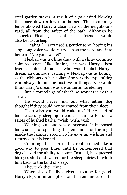steel garden stakes, a result of a gale wind blowing the fence down a few months ago. This temporary fence allowed Harry a clear view of the neighbour's yard, all from the safety of the path. Although he suspected Fleabag – his other best friend – would also be fast asleep.

"Fleabag." Harry used a gentler tone, hoping his sing-song voice would carry across the yard and into her ear. "Are you awake?"

Fleabag was a Chihuahua with a shiny caramelcoloured coat. Like Junior, she was Harry's best friend. Unlike Junior – who would label Harry's dream an ominous warning – Fleabag was as bouncy as the ribbons on her collar. She was the type of dog who always found the positive in things. *She* would think Harry's dream was a wonderful foretelling.

But a foretelling of what? he wondered with a scowl.

He would never find out what either dog thought if they could not be coaxed from their sleep.

"I do wish you would wake up," Harry said of his peacefully sleeping friends. Then he let out a series of hushed barks. "Wish, wish, wish."

Wishing out loud was dangerous. It increased his chances of spending the remainder of the night inside the laundry room. So he gave up wishing and returned to his kennel.

Counting the slats in the roof seemed like a good way to pass time, until he remembered that dogs lacked the ability to count. Instead, he squeezed his eyes shut and waited for the sleep fairies to whisk him back to the land of sleep.

They took their time.

When sleep finally arrived, it came for good. Harry slept uninterrupted for the remainder of the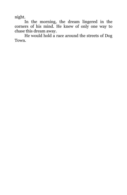night.

In the morning, the dream lingered in the corners of his mind. He knew of only one way to chase this dream away.

He would hold a race around the streets of Dog Town.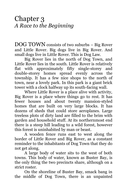Chapter 3 *A Race to the Beginning*

DOG TOWN consists of two suburbs – Big Rover and Little Rover. Big dogs live in Big Rover. And small dogs live in Little Rover. This is Dog Law.

Big Rover lies in the north of Dog Town, and Little Rover lies in the south. Little Rover is relatively flat with approximately fifty single-storey and double-storey homes spread evenly across the township. It has a few nice shops to the north of town, near a lovely park. In this park is a giant brick tower with a clock halfway up its south-facing wall.

Where Little Rover is a place alive with activity, Big Rover is a place where things go to rest. It has fewer houses and about twenty mansion-styled homes that are built on very large blocks. It has dozens of sheds that could store aeroplanes. Large treeless plots of dirty land are filled to the brim with garden and household stuff. At its northernmost end there is a steep hill leading to a wild forest, however this forest is uninhabited by man or beast.

A wooden fence runs east to west along the border of Little Rover and Big Rover, as a constant reminder to the inhabitants of Dog Town that they do not get along.

A large body of water sits to the west of both towns. This body of water, known as Buster Bay, is the only thing the two precincts share, although on a strict roster.

On the shoreline of Buster Bay, smack bang in the middle of Dog Town, there is an unpainted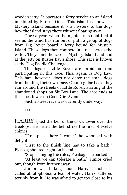wooden jetty. It operates a ferry service to an island inhabited by Furless Ones. This island is known as Mystery Island because it is a mystery to the dogs how the island stays there without floating away.

Once a year, when the nights are so hot that it seems the wind has run out of puff, a group of dogs from Big Rover board a ferry bound for Mystery Island. These dogs then compete in a race across the water. They start the race at Mystery Island and end at the jetty on Buster Bay's shore. This race is known as the Dog Paddle Challenge.

The dogs of Little Rover are forbidden from participating in this race. This, again, is Dog Law. This ban, however, does not deter the small dogs from holding their own race. On a regular basis they run around the streets of Little Rover, starting at the abandoned shops on Sit Boy Lane. The race ends at the clock tower on Good Girl Avenue.

Such a street race was currently underway.

\*\*\*

HARRY spied the bell of the clock tower over the treetops. He heard the bell strike the first of twelve chimes.

"First place, here I come," he whooped with delight.

"First to the finish line has to take a bath," Fleabag shouted, right on his tail.

"Stop changing the rules, Fleabag," he barked.

"At least we can tolerate a bath," Junior cried out, though from further away.

Junior was talking about Harry's phobia – called ablutophobia, a fear of water. Harry suffered terribly from it. He was afraid to get too close to his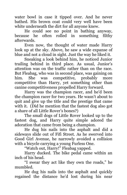water bowl in case it tipped over. And he never bathed. His brown coat could very well have been white underneath the dirt for all anyone knew.

He could see no point in bathing anyway, because he often rolled in something filthy afterwards.

Even now, the thought of water made Harry look up at the sky. Above, he saw a wide expanse of blue and not a cloud in sight. Just the way he liked it.

Sneaking a look behind him, he noticed Junior trailing behind in third place. As usual, Junior's attention was on the traffic rather than on the race. But Fleabag, who was in second place, was gaining on him. She was competitive, probably more competitive than Harry, yet something other than canine competitiveness propelled Harry forward.

Harry was the champion racer, and he'd been the champion racer for two years. He wasn't about to quit and give up the title and the prestige that came with it. (Did he mention that the fastest dog also got a share of all Little Rover's bones?)

The small dogs of Little Rover looked up to the fastest dog, and Harry quite simple adored the adoration that came from being a champion.

He dug his nails into the asphalt and did a sideways slide out of Fifi Street. As he swerved into Good Girl Avenue, he narrowly avoided a collision with a bicycle carrying a young Furless One.

"Watch out, Harry!" Fleabag yapped.

Harry ducked. The bike pedal came within an inch of his head.

"I swear they act like they own the roads," he mumbled.

He dug his nails into the asphalt and quickly regained the distance he'd lost during his near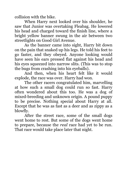collision with the bike.

When Harry next looked over his shoulder, he saw that Junior was overtaking Fleabag. He lowered his head and charged toward the finish line, where a bright yellow banner swung in the air between two streetlights on Good Girl Avenue.

As the banner came into sight, Harry bit down on the pain that snaked up his legs. He told his feet to go faster, and they obeyed. Anyone looking would have seen his ears pressed flat against his head and his eyes squeezed into narrow slits. (This was to stop the bugs from crashing into his eyeballs).

And then, when his heart felt like it would explode, the race was over. Harry had won.

The other racers congratulated him, marvelling at how such a small dog could run so fast. Harry often wondered about this too. He was a dog of mixed-breeding and unknown origin. A pound puppy to be precise. Nothing special about Harry at all. Except that he was as fast as a deer and as zippy as a blowfly.

After the street race, some of the small dogs went home to rest. But some of the dogs went home to prepare, because the *real* race had yet to be run. That race would take place later that night.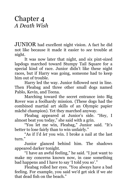## Chapter 4 *A Death Wish*

JUNIOR had excellent night vision. A fact he did not like because it made it easier to *see* trouble at night.

It was now later that night, and six pint-sized lapdogs marched toward Stumpy Tail Square for a special kind of race. Junior didn't like these night races, but if Harry was going, someone had to keep him out of trouble.

Harry led the way. Junior followed next in line. Then Fleabag and three other small dogs named Pablo, Kevin, and Teena.

Marching toward the secret entrance into Big Rover was a foolhardy mission. (These dogs had the combined martial art skills of an Olympic papier mâché champion). Yet they marched anyway.

Fleabag appeared at Junior's side. "Hey, I almost beat you today," she said with a grin.

"You let me win, Fleabag," Junior said. "It's better to lose fairly than to win unfairly."

"As if I'd *let* you win. I broke a nail at the last turn."

Junior glanced behind him. The shadows appeared darker tonight.

"I have an awful feeling," he said. "I just want to make my concerns known now, in case something bad happens and I have to say 'I told you so'."

Fleabag rolled her eyes. "You always have a bad feeling. For example, you said we'd get sick if we ate that dead fish on the beach."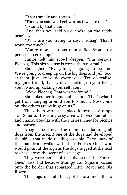"It was smelly and rotten—"

"Then you said we'd get worms if we ate dirt."

"I stand by that claim."

"And then you said we'd choke on the teddy bear's eyes."

"What are you trying to say, Fleabag? That I worry too much?"

"You're more cautious than a Boy Scout at a pedestrian crossing."

Junior felt his scowl deepen. "I'm serious, Fleabag. This sixth sense is worse than normal."

She sighed. "Everything is going to be fine. We're going to creep up on the big dogs and yell 'boo' at them, just like we do every week. You do realise, my good friend, that by never kicking up your heels, you'll wind up kicking yourself later."

"Wow, Fleabag. That was profound."

She poked her tongue out at him. "That's what I get from hanging around you too much. Now come on, the others are waiting on us."

The others were at a place known as Stumpy Tail Square. It was a grassy area with wooden tables and chairs, popular with the Furless Ones for picnics and barbeques.

A sign stood near the main road banning all dogs from the area. None of the dogs had developed the skills that made reading possible. They knew of this ban from walks with their Furless Ones who would point at the sign as the dogs tugged at the lead to chase down the scent of a sausage.

They were here, not in defiance of the Furless Ones' laws, but because Stumpy Tail Square backed onto the border that separated Little Rover and Big Rover.

The dogs met at this spot before and after a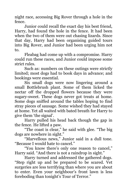night race, accessing Big Rover through a hole in the fence.

Junior could recall the exact day his best friend, Harry, had found the hole in the fence. It had been when the two of them were out chasing lizards. Since that day, Harry had been organising guided tours into Big Rover, and Junior had been urging him not to.

Fleabag had come up with a compromise. Harry could run these races, and Junior could impose some strict rules.

Such as: numbers on these outings were strictly limited; most dogs had to book days in advance; and bookings were essential.

Six small dogs were now lingering around a small Bottlebrush plant. Some of them licked the nectar off the dropped flowers because they were sugary-sweet. These dogs never got treats at home. Some dogs sniffed around the tables hoping to find stray pieces of sausage. Some wished they had stayed at home. Yet all waited with bated breath for Harry to give them 'the signal'.

Harry pulled his head back though the gap in the fence. He lifted a paw.

"The coast is clear," he said with glee. "The big dogs are nowhere in sight."

"Marvellous news," Junior said in a dull tone. "Because I would hate to cancel."

"You know there's only one reason to cancel," Harry said. "And there is not a raindrop in sight."

Harry turned and addressed the gathered dogs. "Step right up and be prepared to be scared. Vet surgeries are less terrifying than where you are about to enter. Even your neighbour's front lawn is less foreboding than tonight's Tour of Terror."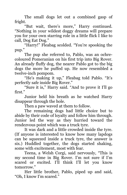The small dogs let out a combined gasp of fright.

"But wait, there's more," Harry continued. "Nothing in your wildest doggy dreams will prepare you for your own starring role in a little flick I like to call, Dog Eat Dog."

"Harry!" Fleabag scolded. "You're spooking the pup."

The pup she referred to, Pablo, was an ochrecoloured Pomeranian on his first trip into Big Rover. An already fluffy dog, the nearer Pablo got to the big dogs the more he puffed up. He now resembled a twelve-inch pompom.

"He's making it up," Fleabag told Pablo. "It's perfectly safe inside Big Rover."

"Sure it is," Harry said. "And to prove it I'll go first<sup>"</sup>

Junior held his breath as he watched Harry disappear through the hole.

Then a paw waved at them to follow.

The remaining dogs had little choice but to abide by their code of loyalty and follow him through. Junior led the way as they hurried toward the rendezvous point which was a truck tyre.

It was dark and a little crowded inside the tyre. (If anyone is interested to know how many lapdogs can be squeezed inside a truck tyre, the answer is six.) Huddled together, the dogs started shaking, some with excitement, most with fear.

Teena, a Welsh Corgi, said nervously, "This is my second time in Big Rover. I'm not sure if I'm scared or excited. I'll think I'll let you know tomorrow."

Her little brother, Pablo, piped up and said, "Oh, I know I'm scared."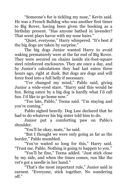"Someone's fur is tickling my nose," Kevin said. He was a French Bulldog who was another first timer to Big Rover, having been given the booking as a birthday present. "Has anyone bathed in lavender? That scent plays havoc with my nose hairs."

"Quiet, everyone," Harry whispered. "It's best if the big dogs are taken by surprise."

The big dogs Junior wanted Harry to avoid waking prematurely were at the far end of Big Rover. They were secured on chains inside six-foot-square steel reinforced enclosures. They ate once a day, and by Junior's calculations they had last eaten three hours ago, right at dusk. But dogs are dogs and will force food into a full belly if necessary.

"I've changed my mind," Pablo said, giving Junior a wide-eyed stare. "Harry said this would be fun. Being eaten by a big dog is hardly what I'd call fun. I'd like to go home now."

"Too late, Pablo," Teena said. "I'm staying and you're coming."

Pablo sighed heavily. Dog Law declared that he had to do whatever his big sister told him to do.

Junior put a comforting paw on Pablo's shoulder.

"You'll be okay, mate," he said.

"But I thought we were only going as far as the border," Pablo mumbled.

"You've waited so long for this," Harry said. "Trust me, Pablo. Nothing is going to happen to you."

"You'll be fine," Teena added. "Just stick close by my side, and when the times comes, run like the vet's got a needle in her hand."

"That's the most important rule," Junior said in earnest. "Everyone, stick together. No wandering off."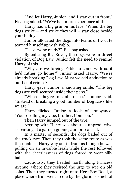"And let Harry, Junior, and I stay out in front," Fleabag added. "We've had more experience at this."

Harry had a big grin on his face. "When the big dogs strike – and strike they will – stay close beside your buddy."

Junior allocated the dogs into teams of two. He teamed himself up with Pablo.

"Is everyone ready?" Fleabag asked.

By entering Big Rover, the dogs were in direct violation of Dog Law. Junior felt the need to remind Harry of this.

"Why are we forcing Pablo to come with us if he'd rather go home?" Junior asked Harry. "We're already breaking Dog Law. Must we add abduction to our list of crimes?"

Harry gave Junior a knowing smile. "The big dogs are well secured inside their pens."

"Where they're meant to be," Junior said. "Instead of breaking a good number of Dog Laws like we are."

Harry flicked Junior a look of annoyance. "You're killing my vibe, brother. Come on."

Then Harry jumped out of the tyre.

Arguing with Harry was about as unproductive as barking at a garden gnome, Junior realised.

In a matter of seconds, the dogs bailed out of the truck tyre. Then they took the same route as was their habit – Harry way out in front as though he was pulling on an invisible leash while the rest followed with the cheerlessness of dogs forced to wear silly hats.

Cautiously, they headed north along Princess Avenue, where they resisted the urge to wee on old sofas. Then they turned right onto Here Boy Road, a place where fruit went to die by the glorious smell of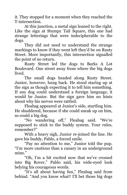it. They stopped for a moment when they reached the T-intersection.

At this junction, a metal sign leaned to the right. Like the sign at Stumpy Tail Square, this one had strange letterings that were indecipherable to the dogs.

They did not need to understand the strange markings to know if they went left they'd be on Rusty Street. More importantly, this intersection signalled the point of no return.

Rusty Street led the dogs to Barks A Lot Boulevard. One street away from where the big dogs lived.

The small dogs headed along Rusty Street. Junior, however, hung back. He stood staring up at the sign as though expecting it to tell him something. If any dog could understand a foreign language, it would be Junior. But the sign gave him no hints about why his nerves were rattled.

Fleabag appeared at Junior's side, startling him. He shuddered, because if she could sneak up on him, so could a big dog.

"No wandering off," Fleabag said. "We're supposed to stick to the buddy system. Your rules, remember?"

With a heavy sigh, Junior re-joined the line. He gave his buddy, Pablo, a forced smile.

"Pay no attention to me," Junior told the pup. "I'm more cautious than a canary in an underground mine."

"Oh, I'm a bit excited now that we've crossed into Big Rover," Pablo said, his wide-eyed look belying his courageous words.

"It's all about having fun," Fleabag said from behind. "And you know what? I'll bet those big dogs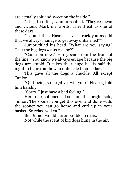are actually soft and sweet on the inside."

"I beg to differ," Junior scoffed. "They're mean and vicious. Mark my words. They'll eat us one of these days."

"I doubt that. Hasn't it ever struck you as odd that we always manage to get away unharmed?"

Junior titled his head. "What are you saying? That the big dogs *let* us escape?"

"Come on now," Harry said from the front of the line. "You know we always escape because the big dogs are stupid. It takes their huge heads half the night to figure out how to unbuckle their collars."

This gave all the dogs a chuckle. All except Junior.

"Quit being so negative, will you?" Fleabag told him harshly.

"Sorry. I just have a bad feeling."

Her tone softened. "Look on the bright side, Junior. The sooner you get this over and done with, the sooner you can go home and curl up in your basket. So relax, will ya."

But Junior would never be able to relax.

Not while the scent of big dogs hung in the air.